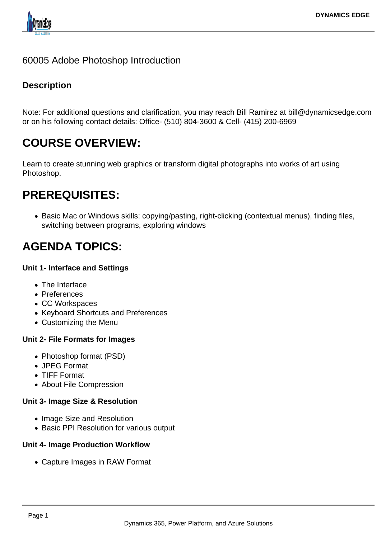

# 60005 Adobe Photoshop Introduction

# **Description**

Note: For additional questions and clarification, you may reach Bill Ramirez at bill@dynamicsedge.com or on his following contact details: Office- (510) 804-3600 & Cell- (415) 200-6969

# **COURSE OVERVIEW:**

Learn to create stunning web graphics or transform digital photographs into works of art using Photoshop.

# **PREREQUISITES:**

• Basic Mac or Windows skills: copying/pasting, right-clicking (contextual menus), finding files, switching between programs, exploring windows

# **AGENDA TOPICS:**

#### **Unit 1- Interface and Settings**

- The Interface
- Preferences
- CC Workspaces
- Keyboard Shortcuts and Preferences
- Customizing the Menu

# **Unit 2- File Formats for Images**

- Photoshop format (PSD)
- JPEG Format
- TIFF Format
- About File Compression

# **Unit 3- Image Size & Resolution**

- Image Size and Resolution
- Basic PPI Resolution for various output

#### **Unit 4- Image Production Workflow**

Capture Images in RAW Format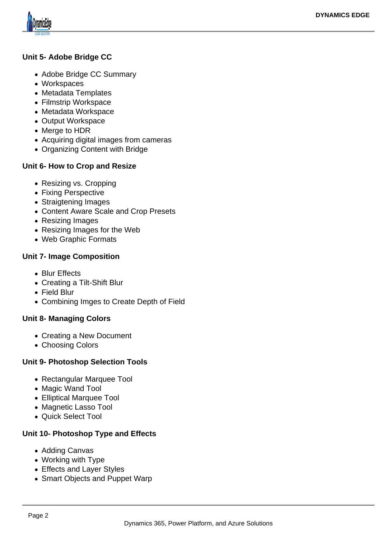

# **Unit 5- Adobe Bridge CC**

- Adobe Bridge CC Summary
- Workspaces
- Metadata Templates
- Filmstrip Workspace
- Metadata Workspace
- Output Workspace
- Merge to HDR
- Acquiring digital images from cameras
- Organizing Content with Bridge

#### **Unit 6- How to Crop and Resize**

- Resizing vs. Cropping
- Fixing Perspective
- Straigtening Images
- Content Aware Scale and Crop Presets
- Resizing Images
- Resizing Images for the Web
- Web Graphic Formats

#### **Unit 7- Image Composition**

- Blur Effects
- Creating a Tilt-Shift Blur
- Field Blur
- Combining Imges to Create Depth of Field

# **Unit 8- Managing Colors**

- Creating a New Document
- Choosing Colors

# **Unit 9- Photoshop Selection Tools**

- Rectangular Marquee Tool
- Magic Wand Tool
- Elliptical Marquee Tool
- Magnetic Lasso Tool
- Quick Select Tool

# **Unit 10- Photoshop Type and Effects**

- Adding Canvas
- Working with Type
- Effects and Layer Styles
- Smart Objects and Puppet Warp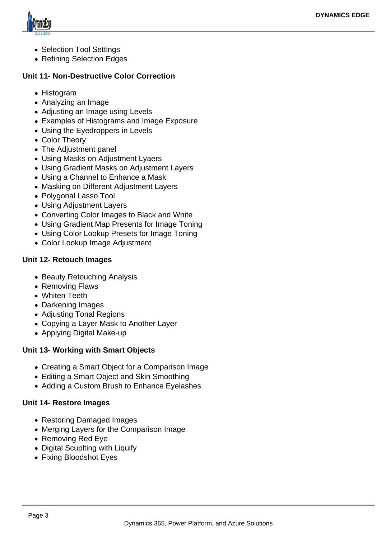

- Selection Tool Settings
- Refining Selection Edges

#### **Unit 11- Non-Destructive Color Correction**

- Histogram
- Analyzing an Image
- Adjusting an Image using Levels
- Examples of Histograms and Image Exposure
- Using the Eyedroppers in Levels
- Color Theory
- The Adjustment panel
- Using Masks on Adjustment Lyaers
- Using Gradient Masks on Adjustment Layers
- Using a Channel to Enhance a Mask
- Masking on Different Adjustment Layers
- Polygonal Lasso Tool
- Using Adjustment Layers
- Converting Color Images to Black and White
- Using Gradient Map Presents for Image Toning
- Using Color Lookup Presets for Image Toning
- Color Lookup Image Adjustment

#### **Unit 12- Retouch Images**

- Beauty Retouching Analysis
- Removing Flaws
- Whiten Teeth
- Darkening Images
- Adjusting Tonal Regions
- Copying a Layer Mask to Another Layer
- Applying Digital Make-up

# **Unit 13- Working with Smart Objects**

- Creating a Smart Object for a Comparison Image
- Editing a Smart Object and Skin Smoothing
- Adding a Custom Brush to Enhance Eyelashes

#### **Unit 14- Restore Images**

- Restoring Damaged Images
- Merging Layers for the Comparison Image
- Removing Red Eye
- Digital Scuplting with Liquify
- Fixing Bloodshot Eyes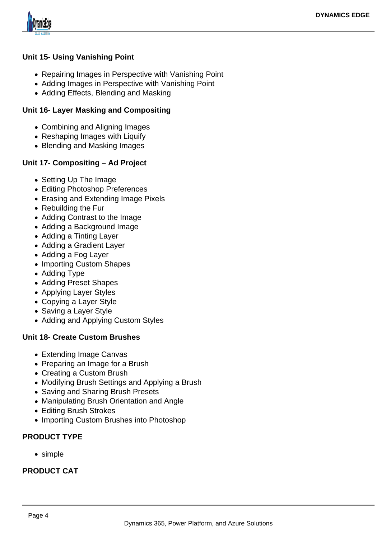

# **Unit 15- Using Vanishing Point**

- Repairing Images in Perspective with Vanishing Point
- Adding Images in Perspective with Vanishing Point
- Adding Effects, Blending and Masking

#### **Unit 16- Layer Masking and Compositing**

- Combining and Aligning Images
- Reshaping Images with Liquify
- Blending and Masking Images

# **Unit 17- Compositing – Ad Project**

- Setting Up The Image
- Editing Photoshop Preferences
- Erasing and Extending Image Pixels
- Rebuilding the Fur
- Adding Contrast to the Image
- Adding a Background Image
- Adding a Tinting Layer
- Adding a Gradient Layer
- Adding a Fog Layer
- Importing Custom Shapes
- Adding Type
- Adding Preset Shapes
- Applying Layer Styles
- Copying a Layer Style
- Saving a Layer Style
- Adding and Applying Custom Styles

# **Unit 18- Create Custom Brushes**

- Extending Image Canvas
- Preparing an Image for a Brush
- Creating a Custom Brush
- Modifying Brush Settings and Applying a Brush
- Saving and Sharing Brush Presets
- Manipulating Brush Orientation and Angle
- Editing Brush Strokes
- Importing Custom Brushes into Photoshop

# **PRODUCT TYPE**

• simple

# **PRODUCT CAT**